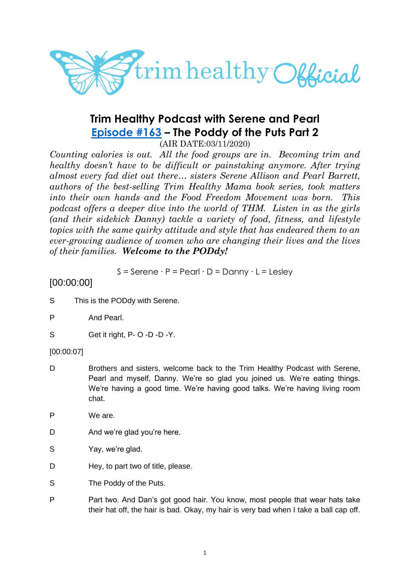

# **Trim Healthy Podcast with Serene and Pearl [Episode #163](https://cms.megaphone.fm/channel/trimhealthypodcast?selected=ADL8582374118) – The Poddy of the Puts Part 2**

(AIR DATE:03/11/2020)

*Counting calories is out. All the food groups are in. Becoming trim and healthy doesn't have to be difficult or painstaking anymore. After trying almost every fad diet out there… sisters Serene Allison and Pearl Barrett, authors of the best-selling Trim Healthy Mama book series, took matters into their own hands and the Food Freedom Movement was born. This podcast offers a deeper dive into the world of THM. Listen in as the girls (and their sidekick Danny) tackle a variety of food, fitness, and lifestyle topics with the same quirky attitude and style that has endeared them to an ever-growing audience of women who are changing their lives and the lives of their families. Welcome to the PODdy!*

S = Serene ∙ P = Pearl ∙ D = Danny ∙ L = Lesley

# [00:00:00]

- S This is the PODdy with Serene.
- P And Pearl.
- S Get it right, P- O -D -D -Y.

[00:00:07]

- D Brothers and sisters, welcome back to the Trim Healthy Podcast with Serene, Pearl and myself, Danny. We're so glad you joined us. We're eating things. We're having a good time. We're having good talks. We're having living room chat.
- P We are.
- D And we're glad you're here.
- S Yay, we're glad.
- D Hey, to part two of title, please.
- S The Poddy of the Puts.
- P Part two. And Dan's got good hair. You know, most people that wear hats take their hat off, the hair is bad. Okay, my hair is very bad when I take a ball cap off.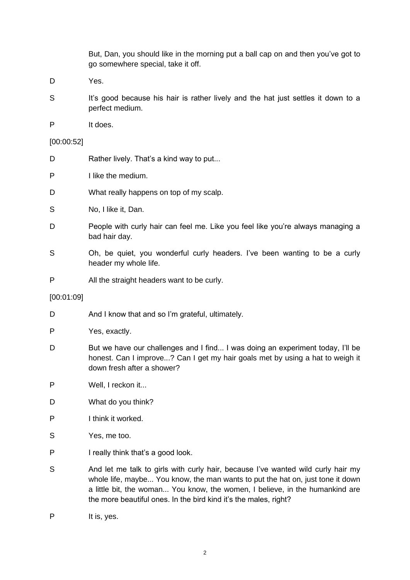But, Dan, you should like in the morning put a ball cap on and then you've got to go somewhere special, take it off.

- D Yes.
- S It's good because his hair is rather lively and the hat just settles it down to a perfect medium.
- P It does.

#### [00:00:52]

- D Rather lively. That's a kind way to put...
- P I like the medium.
- D What really happens on top of my scalp.
- S No, I like it, Dan.
- D People with curly hair can feel me. Like you feel like you're always managing a bad hair day.
- S Oh, be quiet, you wonderful curly headers. I've been wanting to be a curly header my whole life.
- P All the straight headers want to be curly.

#### [00:01:09]

- D And I know that and so I'm grateful, ultimately.
- P Yes, exactly.
- D But we have our challenges and I find... I was doing an experiment today, I'll be honest. Can I improve...? Can I get my hair goals met by using a hat to weigh it down fresh after a shower?
- P Well, I reckon it...
- D What do you think?
- P I think it worked.
- S Yes, me too.
- P I really think that's a good look.
- S And let me talk to girls with curly hair, because I've wanted wild curly hair my whole life, maybe... You know, the man wants to put the hat on, just tone it down a little bit, the woman... You know, the women, I believe, in the humankind are the more beautiful ones. In the bird kind it's the males, right?
- P It is, yes.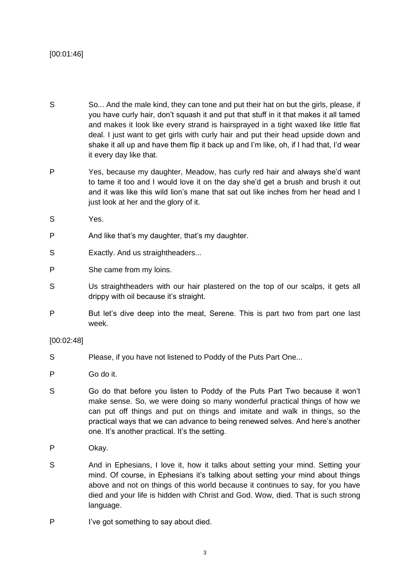# [00:01:46]

- S So... And the male kind, they can tone and put their hat on but the girls, please, if you have curly hair, don't squash it and put that stuff in it that makes it all tamed and makes it look like every strand is hairsprayed in a tight waxed like little flat deal. I just want to get girls with curly hair and put their head upside down and shake it all up and have them flip it back up and I'm like, oh, if I had that, I'd wear it every day like that.
- P Yes, because my daughter, Meadow, has curly red hair and always she'd want to tame it too and I would love it on the day she'd get a brush and brush it out and it was like this wild lion's mane that sat out like inches from her head and I just look at her and the glory of it.
- S Yes.
- P And like that's my daughter, that's my daughter.
- S Exactly. And us straightheaders...
- P She came from my loins.
- S Us straightheaders with our hair plastered on the top of our scalps, it gets all drippy with oil because it's straight.
- P But let's dive deep into the meat, Serene. This is part two from part one last week.

#### [00:02:48]

- S Please, if you have not listened to Poddy of the Puts Part One...
- P Go do it.
- S Go do that before you listen to Poddy of the Puts Part Two because it won't make sense. So, we were doing so many wonderful practical things of how we can put off things and put on things and imitate and walk in things, so the practical ways that we can advance to being renewed selves. And here's another one. It's another practical. It's the setting.
- P Okay.
- S And in Ephesians, I love it, how it talks about setting your mind. Setting your mind. Of course, in Ephesians it's talking about setting your mind about things above and not on things of this world because it continues to say, for you have died and your life is hidden with Christ and God. Wow, died. That is such strong language.
- P I've got something to say about died.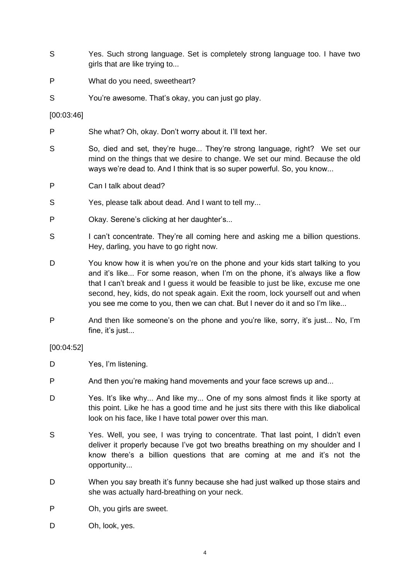- S Yes. Such strong language. Set is completely strong language too. I have two girls that are like trying to...
- P What do you need, sweetheart?
- S You're awesome. That's okay, you can just go play.

#### [00:03:46]

- P She what? Oh, okay. Don't worry about it. I'll text her.
- S So, died and set, they're huge... They're strong language, right? We set our mind on the things that we desire to change. We set our mind. Because the old ways we're dead to. And I think that is so super powerful. So, you know...
- P Can I talk about dead?
- S Yes, please talk about dead. And I want to tell my...
- P Okay. Serene's clicking at her daughter's...
- S I can't concentrate. They're all coming here and asking me a billion questions. Hey, darling, you have to go right now.
- D You know how it is when you're on the phone and your kids start talking to you and it's like... For some reason, when I'm on the phone, it's always like a flow that I can't break and I guess it would be feasible to just be like, excuse me one second, hey, kids, do not speak again. Exit the room, lock yourself out and when you see me come to you, then we can chat. But I never do it and so I'm like...
- P And then like someone's on the phone and you're like, sorry, it's just... No, I'm fine, it's just...

# [00:04:52]

- D Yes, I'm listening.
- P And then you're making hand movements and your face screws up and...
- D Yes. It's like why... And like my... One of my sons almost finds it like sporty at this point. Like he has a good time and he just sits there with this like diabolical look on his face, like I have total power over this man.
- S Yes. Well, you see, I was trying to concentrate. That last point, I didn't even deliver it properly because I've got two breaths breathing on my shoulder and I know there's a billion questions that are coming at me and it's not the opportunity...
- D When you say breath it's funny because she had just walked up those stairs and she was actually hard-breathing on your neck.
- P Oh, you girls are sweet.
- D Oh, look, yes.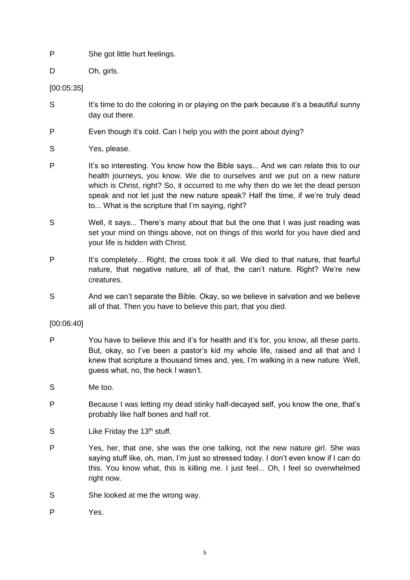- P She got little hurt feelings.
- D Oh, girls.

[00:05:35]

- S It's time to do the coloring in or playing on the park because it's a beautiful sunny day out there.
- P Even though it's cold. Can I help you with the point about dying?
- S Yes, please.
- P It's so interesting. You know how the Bible says... And we can relate this to our health journeys, you know. We die to ourselves and we put on a new nature which is Christ, right? So, it occurred to me why then do we let the dead person speak and not let just the new nature speak? Half the time, if we're truly dead to... What is the scripture that I'm saying, right?
- S Well, it says... There's many about that but the one that I was just reading was set your mind on things above, not on things of this world for you have died and your life is hidden with Christ.
- P It's completely... Right, the cross took it all. We died to that nature, that fearful nature, that negative nature, all of that, the can't nature. Right? We're new creatures.
- S And we can't separate the Bible. Okay, so we believe in salvation and we believe all of that. Then you have to believe this part, that you died.

[00:06:40]

- P You have to believe this and it's for health and it's for, you know, all these parts. But, okay, so I've been a pastor's kid my whole life, raised and all that and I knew that scripture a thousand times and, yes, I'm walking in a new nature. Well, guess what, no, the heck I wasn't.
- S Me too.
- P Because I was letting my dead stinky half-decayed self, you know the one, that's probably like half bones and half rot.
- $S$  Like Friday the 13<sup>th</sup> stuff.
- P Yes, her, that one, she was the one talking, not the new nature girl. She was saying stuff like, oh, man, I'm just so stressed today. I don't even know if I can do this. You know what, this is killing me. I just feel... Oh, I feel so overwhelmed right now.
- S She looked at me the wrong way.
- P Yes.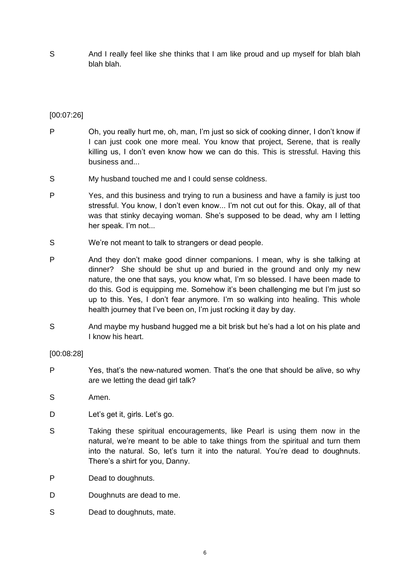S And I really feel like she thinks that I am like proud and up myself for blah blah blah blah.

# [00:07:26]

- P Oh, you really hurt me, oh, man, I'm just so sick of cooking dinner, I don't know if I can just cook one more meal. You know that project, Serene, that is really killing us, I don't even know how we can do this. This is stressful. Having this business and...
- S My husband touched me and I could sense coldness.
- P Yes, and this business and trying to run a business and have a family is just too stressful. You know, I don't even know... I'm not cut out for this. Okay, all of that was that stinky decaying woman. She's supposed to be dead, why am I letting her speak. I'm not...
- S We're not meant to talk to strangers or dead people.
- P And they don't make good dinner companions. I mean, why is she talking at dinner? She should be shut up and buried in the ground and only my new nature, the one that says, you know what, I'm so blessed. I have been made to do this. God is equipping me. Somehow it's been challenging me but I'm just so up to this. Yes, I don't fear anymore. I'm so walking into healing. This whole health journey that I've been on, I'm just rocking it day by day.
- S And maybe my husband hugged me a bit brisk but he's had a lot on his plate and I know his heart.

#### [00:08:28]

- P Yes, that's the new-natured women. That's the one that should be alive, so why are we letting the dead girl talk?
- S Amen.
- D Let's get it, girls. Let's go.
- S Taking these spiritual encouragements, like Pearl is using them now in the natural, we're meant to be able to take things from the spiritual and turn them into the natural. So, let's turn it into the natural. You're dead to doughnuts. There's a shirt for you, Danny.
- P Dead to doughnuts.
- D Doughnuts are dead to me.
- S Dead to doughnuts, mate.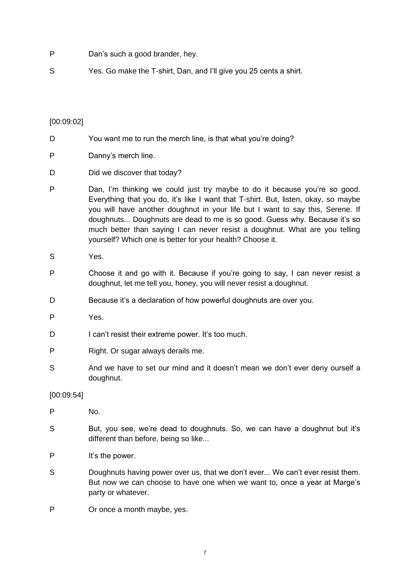- P Dan's such a good brander, hey.
- S Yes. Go make the T-shirt, Dan, and I'll give you 25 cents a shirt.

#### [00:09:02]

- D You want me to run the merch line, is that what you're doing?
- P Danny's merch line.
- D Did we discover that today?
- P Dan, I'm thinking we could just try maybe to do it because you're so good. Everything that you do, it's like I want that T-shirt. But, listen, okay, so maybe you will have another doughnut in your life but I want to say this, Serene. If doughnuts... Doughnuts are dead to me is so good. Guess why. Because it's so much better than saying I can never resist a doughnut. What are you telling yourself? Which one is better for your health? Choose it.
- S Yes.
- P Choose it and go with it. Because if you're going to say, I can never resist a doughnut, let me tell you, honey, you will never resist a doughnut.
- D Because it's a declaration of how powerful doughnuts are over you.
- P Yes.
- D I can't resist their extreme power. It's too much.
- P Right. Or sugar always derails me.
- S And we have to set our mind and it doesn't mean we don't ever deny ourself a doughnut.

#### [00:09:54]

- P No.
- S But, you see, we're dead to doughnuts. So, we can have a doughnut but it's different than before, being so like...
- P It's the power.
- S Doughnuts having power over us, that we don't ever... We can't ever resist them. But now we can choose to have one when we want to, once a year at Marge's party or whatever.
- P Or once a month maybe, yes.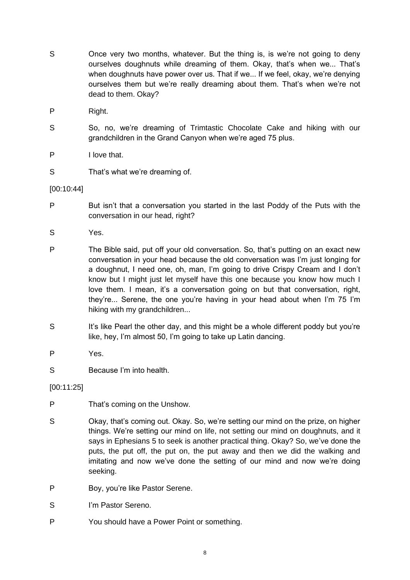- S Once very two months, whatever. But the thing is, is we're not going to deny ourselves doughnuts while dreaming of them. Okay, that's when we... That's when doughnuts have power over us. That if we... If we feel, okay, we're denying ourselves them but we're really dreaming about them. That's when we're not dead to them. Okay?
- P Right.
- S So, no, we're dreaming of Trimtastic Chocolate Cake and hiking with our grandchildren in the Grand Canyon when we're aged 75 plus.
- P I love that.
- S That's what we're dreaming of.

#### [00:10:44]

- P But isn't that a conversation you started in the last Poddy of the Puts with the conversation in our head, right?
- S Yes.
- P The Bible said, put off your old conversation. So, that's putting on an exact new conversation in your head because the old conversation was I'm just longing for a doughnut, I need one, oh, man, I'm going to drive Crispy Cream and I don't know but I might just let myself have this one because you know how much I love them. I mean, it's a conversation going on but that conversation, right, they're... Serene, the one you're having in your head about when I'm 75 I'm hiking with my grandchildren...
- S It's like Pearl the other day, and this might be a whole different poddy but you're like, hey, I'm almost 50, I'm going to take up Latin dancing.
- P Yes.
- S Because I'm into health.

[00:11:25]

- P That's coming on the Unshow.
- S Okay, that's coming out. Okay. So, we're setting our mind on the prize, on higher things. We're setting our mind on life, not setting our mind on doughnuts, and it says in Ephesians 5 to seek is another practical thing. Okay? So, we've done the puts, the put off, the put on, the put away and then we did the walking and imitating and now we've done the setting of our mind and now we're doing seeking.
- P Boy, you're like Pastor Serene.
- S I'm Pastor Sereno.
- P You should have a Power Point or something.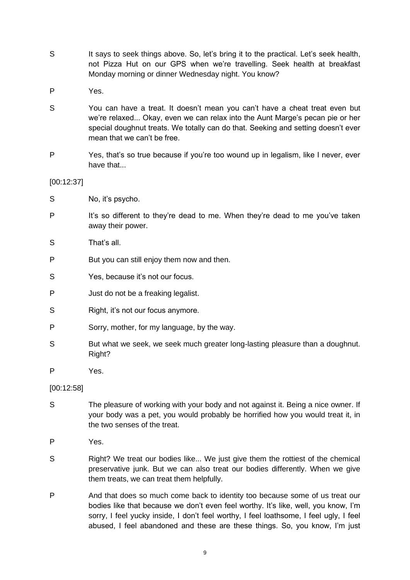- S It says to seek things above. So, let's bring it to the practical. Let's seek health, not Pizza Hut on our GPS when we're travelling. Seek health at breakfast Monday morning or dinner Wednesday night. You know?
- P Yes.
- S You can have a treat. It doesn't mean you can't have a cheat treat even but we're relaxed... Okay, even we can relax into the Aunt Marge's pecan pie or her special doughnut treats. We totally can do that. Seeking and setting doesn't ever mean that we can't be free.
- P Yes, that's so true because if you're too wound up in legalism, like I never, ever have that...

[00:12:37]

- S No, it's psycho.
- P It's so different to they're dead to me. When they're dead to me you've taken away their power.

S That's all.

- P But you can still enjoy them now and then.
- S Yes, because it's not our focus.
- P Just do not be a freaking legalist.
- S Right, it's not our focus anymore.
- P Sorry, mother, for my language, by the way.
- S But what we seek, we seek much greater long-lasting pleasure than a doughnut. Right?
- P Yes.

[00:12:58]

- S The pleasure of working with your body and not against it. Being a nice owner. If your body was a pet, you would probably be horrified how you would treat it, in the two senses of the treat.
- P Yes.
- S Right? We treat our bodies like... We just give them the rottiest of the chemical preservative junk. But we can also treat our bodies differently. When we give them treats, we can treat them helpfully.
- P And that does so much come back to identity too because some of us treat our bodies like that because we don't even feel worthy. It's like, well, you know, I'm sorry, I feel yucky inside, I don't feel worthy, I feel loathsome, I feel ugly, I feel abused, I feel abandoned and these are these things. So, you know, I'm just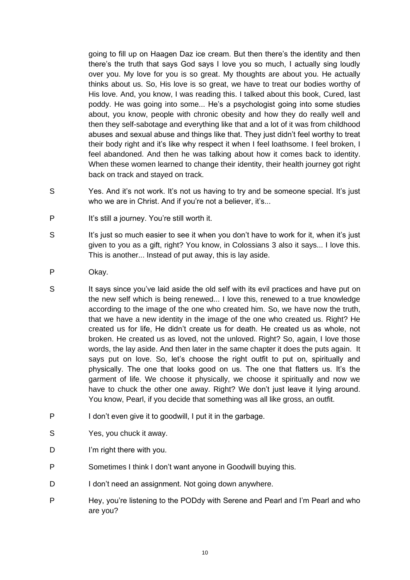going to fill up on Haagen Daz ice cream. But then there's the identity and then there's the truth that says God says I love you so much, I actually sing loudly over you. My love for you is so great. My thoughts are about you. He actually thinks about us. So, His love is so great, we have to treat our bodies worthy of His love. And, you know, I was reading this. I talked about this book, Cured, last poddy. He was going into some... He's a psychologist going into some studies about, you know, people with chronic obesity and how they do really well and then they self-sabotage and everything like that and a lot of it was from childhood abuses and sexual abuse and things like that. They just didn't feel worthy to treat their body right and it's like why respect it when I feel loathsome. I feel broken, I feel abandoned. And then he was talking about how it comes back to identity. When these women learned to change their identity, their health journey got right back on track and stayed on track.

- S Yes. And it's not work. It's not us having to try and be someone special. It's just who we are in Christ. And if you're not a believer, it's...
- P It's still a journey. You're still worth it.
- S It's just so much easier to see it when you don't have to work for it, when it's just given to you as a gift, right? You know, in Colossians 3 also it says... I love this. This is another... Instead of put away, this is lay aside.
- P Okay.
- S It says since you've laid aside the old self with its evil practices and have put on the new self which is being renewed... I love this, renewed to a true knowledge according to the image of the one who created him. So, we have now the truth, that we have a new identity in the image of the one who created us. Right? He created us for life, He didn't create us for death. He created us as whole, not broken. He created us as loved, not the unloved. Right? So, again, I love those words, the lay aside. And then later in the same chapter it does the puts again. It says put on love. So, let's choose the right outfit to put on, spiritually and physically. The one that looks good on us. The one that flatters us. It's the garment of life. We choose it physically, we choose it spiritually and now we have to chuck the other one away. Right? We don't just leave it lying around. You know, Pearl, if you decide that something was all like gross, an outfit.
- P I don't even give it to goodwill, I put it in the garbage.
- S Yes, you chuck it away.
- D I'm right there with you.
- P Sometimes I think I don't want anyone in Goodwill buying this.
- D I don't need an assignment. Not going down anywhere.
- P Hey, you're listening to the PODdy with Serene and Pearl and I'm Pearl and who are you?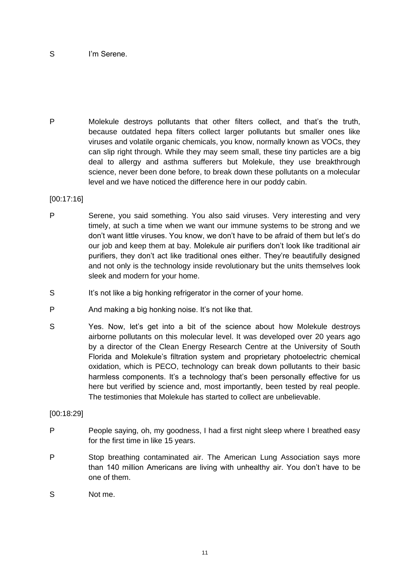#### S I'm Serene.

P Molekule destroys pollutants that other filters collect, and that's the truth, because outdated hepa filters collect larger pollutants but smaller ones like viruses and volatile organic chemicals, you know, normally known as VOCs, they can slip right through. While they may seem small, these tiny particles are a big deal to allergy and asthma sufferers but Molekule, they use breakthrough science, never been done before, to break down these pollutants on a molecular level and we have noticed the difference here in our poddy cabin.

#### [00:17:16]

- P Serene, you said something. You also said viruses. Very interesting and very timely, at such a time when we want our immune systems to be strong and we don't want little viruses. You know, we don't have to be afraid of them but let's do our job and keep them at bay. Molekule air purifiers don't look like traditional air purifiers, they don't act like traditional ones either. They're beautifully designed and not only is the technology inside revolutionary but the units themselves look sleek and modern for your home.
- S It's not like a big honking refrigerator in the corner of your home.
- P And making a big honking noise. It's not like that.
- S Yes. Now, let's get into a bit of the science about how Molekule destroys airborne pollutants on this molecular level. It was developed over 20 years ago by a director of the Clean Energy Research Centre at the University of South Florida and Molekule's filtration system and proprietary photoelectric chemical oxidation, which is PECO, technology can break down pollutants to their basic harmless components. It's a technology that's been personally effective for us here but verified by science and, most importantly, been tested by real people. The testimonies that Molekule has started to collect are unbelievable.

#### [00:18:29]

- P People saying, oh, my goodness, I had a first night sleep where I breathed easy for the first time in like 15 years.
- P Stop breathing contaminated air. The American Lung Association says more than 140 million Americans are living with unhealthy air. You don't have to be one of them.
- S Not me.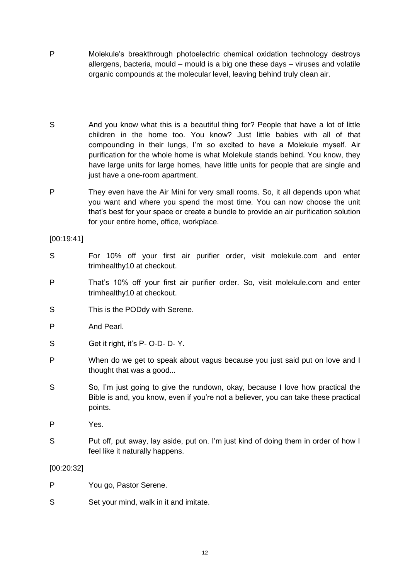- P Molekule's breakthrough photoelectric chemical oxidation technology destroys allergens, bacteria, mould – mould is a big one these days – viruses and volatile organic compounds at the molecular level, leaving behind truly clean air.
- S And you know what this is a beautiful thing for? People that have a lot of little children in the home too. You know? Just little babies with all of that compounding in their lungs, I'm so excited to have a Molekule myself. Air purification for the whole home is what Molekule stands behind. You know, they have large units for large homes, have little units for people that are single and just have a one-room apartment.
- P They even have the Air Mini for very small rooms. So, it all depends upon what you want and where you spend the most time. You can now choose the unit that's best for your space or create a bundle to provide an air purification solution for your entire home, office, workplace.

#### [00:19:41]

- S For 10% off your first air purifier order, visit molekule.com and enter trimhealthy10 at checkout.
- P That's 10% off your first air purifier order. So, visit molekule.com and enter trimhealthy10 at checkout.
- S This is the PODdy with Serene.
- P And Pearl.
- S Get it right, it's P- O-D- D- Y.
- P When do we get to speak about vagus because you just said put on love and I thought that was a good...
- S So, I'm just going to give the rundown, okay, because I love how practical the Bible is and, you know, even if you're not a believer, you can take these practical points.
- P Yes.
- S Put off, put away, lay aside, put on. I'm just kind of doing them in order of how I feel like it naturally happens.

#### [00:20:32]

- P You go, Pastor Serene.
- S Set your mind, walk in it and imitate.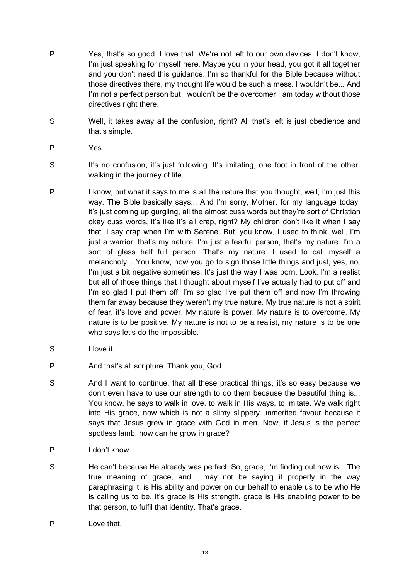- P Yes, that's so good. I love that. We're not left to our own devices. I don't know, I'm just speaking for myself here. Maybe you in your head, you got it all together and you don't need this guidance. I'm so thankful for the Bible because without those directives there, my thought life would be such a mess. I wouldn't be... And I'm not a perfect person but I wouldn't be the overcomer I am today without those directives right there.
- S Well, it takes away all the confusion, right? All that's left is just obedience and that's simple.
- P Yes.
- S It's no confusion, it's just following. It's imitating, one foot in front of the other, walking in the journey of life.
- P I know, but what it says to me is all the nature that you thought, well, I'm just this way. The Bible basically says... And I'm sorry, Mother, for my language today, it's just coming up gurgling, all the almost cuss words but they're sort of Christian okay cuss words, it's like it's all crap, right? My children don't like it when I say that. I say crap when I'm with Serene. But, you know, I used to think, well, I'm just a warrior, that's my nature. I'm just a fearful person, that's my nature. I'm a sort of glass half full person. That's my nature. I used to call myself a melancholy... You know, how you go to sign those little things and just, yes, no, I'm just a bit negative sometimes. It's just the way I was born. Look, I'm a realist but all of those things that I thought about myself I've actually had to put off and I'm so glad I put them off. I'm so glad I've put them off and now I'm throwing them far away because they weren't my true nature. My true nature is not a spirit of fear, it's love and power. My nature is power. My nature is to overcome. My nature is to be positive. My nature is not to be a realist, my nature is to be one who says let's do the impossible.
- S I love it.
- P And that's all scripture. Thank you, God.
- S And I want to continue, that all these practical things, it's so easy because we don't even have to use our strength to do them because the beautiful thing is... You know, he says to walk in love, to walk in His ways, to imitate. We walk right into His grace, now which is not a slimy slippery unmerited favour because it says that Jesus grew in grace with God in men. Now, if Jesus is the perfect spotless lamb, how can he grow in grace?
- P I don't know.
- S He can't because He already was perfect. So, grace, I'm finding out now is... The true meaning of grace, and I may not be saying it properly in the way paraphrasing it, is His ability and power on our behalf to enable us to be who He is calling us to be. It's grace is His strength, grace is His enabling power to be that person, to fulfil that identity. That's grace.
- P Love that.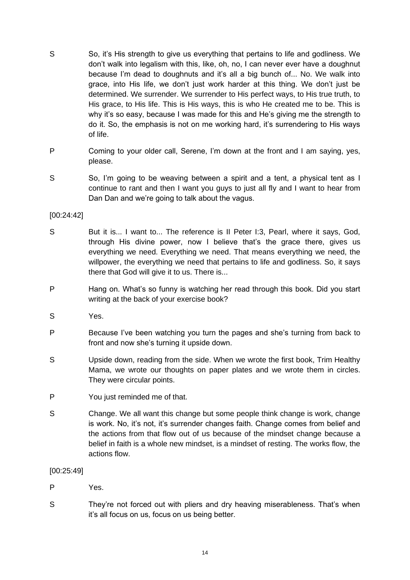- S So, it's His strength to give us everything that pertains to life and godliness. We don't walk into legalism with this, like, oh, no, I can never ever have a doughnut because I'm dead to doughnuts and it's all a big bunch of... No. We walk into grace, into His life, we don't just work harder at this thing. We don't just be determined. We surrender. We surrender to His perfect ways, to His true truth, to His grace, to His life. This is His ways, this is who He created me to be. This is why it's so easy, because I was made for this and He's giving me the strength to do it. So, the emphasis is not on me working hard, it's surrendering to His ways of life.
- P Coming to your older call, Serene, I'm down at the front and I am saying, yes, please.
- S So, I'm going to be weaving between a spirit and a tent, a physical tent as I continue to rant and then I want you guys to just all fly and I want to hear from Dan Dan and we're going to talk about the vagus.

### [00:24:42]

- S But it is... I want to... The reference is II Peter I:3, Pearl, where it says, God, through His divine power, now I believe that's the grace there, gives us everything we need. Everything we need. That means everything we need, the willpower, the everything we need that pertains to life and godliness. So, it says there that God will give it to us. There is...
- P Hang on. What's so funny is watching her read through this book. Did you start writing at the back of your exercise book?
- S Yes.
- P Because I've been watching you turn the pages and she's turning from back to front and now she's turning it upside down.
- S Upside down, reading from the side. When we wrote the first book, Trim Healthy Mama, we wrote our thoughts on paper plates and we wrote them in circles. They were circular points.
- P You just reminded me of that.
- S Change. We all want this change but some people think change is work, change is work. No, it's not, it's surrender changes faith. Change comes from belief and the actions from that flow out of us because of the mindset change because a belief in faith is a whole new mindset, is a mindset of resting. The works flow, the actions flow.

[00:25:49]

- P Yes.
- S They're not forced out with pliers and dry heaving miserableness. That's when it's all focus on us, focus on us being better.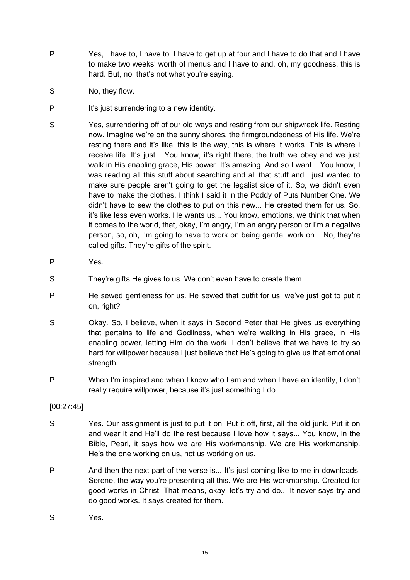- P Yes, I have to, I have to, I have to get up at four and I have to do that and I have to make two weeks' worth of menus and I have to and, oh, my goodness, this is hard. But, no, that's not what you're saying.
- S No, they flow.
- P It's just surrendering to a new identity.
- S Yes, surrendering off of our old ways and resting from our shipwreck life. Resting now. Imagine we're on the sunny shores, the firmgroundedness of His life. We're resting there and it's like, this is the way, this is where it works. This is where I receive life. It's just... You know, it's right there, the truth we obey and we just walk in His enabling grace, His power. It's amazing. And so I want... You know, I was reading all this stuff about searching and all that stuff and I just wanted to make sure people aren't going to get the legalist side of it. So, we didn't even have to make the clothes. I think I said it in the Poddy of Puts Number One. We didn't have to sew the clothes to put on this new... He created them for us. So, it's like less even works. He wants us... You know, emotions, we think that when it comes to the world, that, okay, I'm angry, I'm an angry person or I'm a negative person, so, oh, I'm going to have to work on being gentle, work on... No, they're called gifts. They're gifts of the spirit.
- P Yes.
- S They're gifts He gives to us. We don't even have to create them.
- P He sewed gentleness for us. He sewed that outfit for us, we've just got to put it on, right?
- S Okay. So, I believe, when it says in Second Peter that He gives us everything that pertains to life and Godliness, when we're walking in His grace, in His enabling power, letting Him do the work, I don't believe that we have to try so hard for willpower because I just believe that He's going to give us that emotional strength.
- P When I'm inspired and when I know who I am and when I have an identity, I don't really require willpower, because it's just something I do.

# [00:27:45]

- S Yes. Our assignment is just to put it on. Put it off, first, all the old junk. Put it on and wear it and He'll do the rest because I love how it says... You know, in the Bible, Pearl, it says how we are His workmanship. We are His workmanship. He's the one working on us, not us working on us.
- P And then the next part of the verse is... It's just coming like to me in downloads, Serene, the way you're presenting all this. We are His workmanship. Created for good works in Christ. That means, okay, let's try and do... It never says try and do good works. It says created for them.
- S Yes.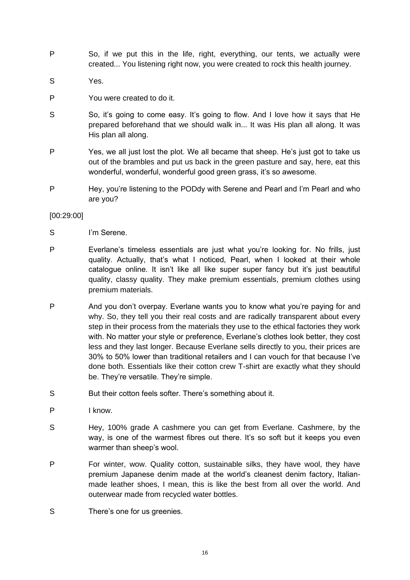- P So, if we put this in the life, right, everything, our tents, we actually were created... You listening right now, you were created to rock this health journey.
- S Yes.
- P You were created to do it.
- S So, it's going to come easy. It's going to flow. And I love how it says that He prepared beforehand that we should walk in... It was His plan all along. It was His plan all along.
- P Yes, we all just lost the plot. We all became that sheep. He's just got to take us out of the brambles and put us back in the green pasture and say, here, eat this wonderful, wonderful, wonderful good green grass, it's so awesome.
- P Hey, you're listening to the PODdy with Serene and Pearl and I'm Pearl and who are you?

#### [00:29:00]

- S I'm Serene.
- P Everlane's timeless essentials are just what you're looking for. No frills, just quality. Actually, that's what I noticed, Pearl, when I looked at their whole catalogue online. It isn't like all like super super fancy but it's just beautiful quality, classy quality. They make premium essentials, premium clothes using premium materials.
- P And you don't overpay. Everlane wants you to know what you're paying for and why. So, they tell you their real costs and are radically transparent about every step in their process from the materials they use to the ethical factories they work with. No matter your style or preference, Everlane's clothes look better, they cost less and they last longer. Because Everlane sells directly to you, their prices are 30% to 50% lower than traditional retailers and I can vouch for that because I've done both. Essentials like their cotton crew T-shirt are exactly what they should be. They're versatile. They're simple.
- S But their cotton feels softer. There's something about it.
- P I know.
- S Hey, 100% grade A cashmere you can get from Everlane. Cashmere, by the way, is one of the warmest fibres out there. It's so soft but it keeps you even warmer than sheep's wool.
- P For winter, wow. Quality cotton, sustainable silks, they have wool, they have premium Japanese denim made at the world's cleanest denim factory, Italianmade leather shoes, I mean, this is like the best from all over the world. And outerwear made from recycled water bottles.
- S There's one for us greenies.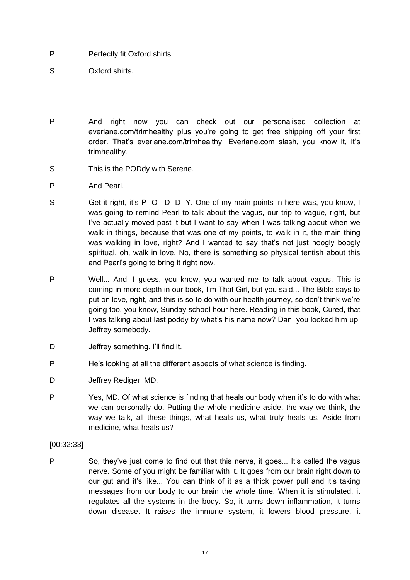- P Perfectly fit Oxford shirts.
- S Oxford shirts.
- P And right now you can check out our personalised collection at everlane.com/trimhealthy plus you're going to get free shipping off your first order. That's everlane.com/trimhealthy. Everlane.com slash, you know it, it's trimhealthy.
- S This is the PODdy with Serene.
- P And Pearl.
- S Get it right, it's P- O –D- D- Y, One of my main points in here was, you know, I was going to remind Pearl to talk about the vagus, our trip to vague, right, but I've actually moved past it but I want to say when I was talking about when we walk in things, because that was one of my points, to walk in it, the main thing was walking in love, right? And I wanted to say that's not just hoogly boogly spiritual, oh, walk in love. No, there is something so physical tentish about this and Pearl's going to bring it right now.
- P Well... And, I guess, you know, you wanted me to talk about vagus. This is coming in more depth in our book, I'm That Girl, but you said... The Bible says to put on love, right, and this is so to do with our health journey, so don't think we're going too, you know, Sunday school hour here. Reading in this book, Cured, that I was talking about last poddy by what's his name now? Dan, you looked him up. Jeffrey somebody.
- D **Jeffrey something. I'll find it.**
- P He's looking at all the different aspects of what science is finding.
- D Jeffrey Rediger, MD.
- P Yes, MD. Of what science is finding that heals our body when it's to do with what we can personally do. Putting the whole medicine aside, the way we think, the way we talk, all these things, what heals us, what truly heals us. Aside from medicine, what heals us?

#### [00:32:33]

P So, they've just come to find out that this nerve, it goes... It's called the vagus nerve. Some of you might be familiar with it. It goes from our brain right down to our gut and it's like... You can think of it as a thick power pull and it's taking messages from our body to our brain the whole time. When it is stimulated, it regulates all the systems in the body. So, it turns down inflammation, it turns down disease. It raises the immune system, it lowers blood pressure, it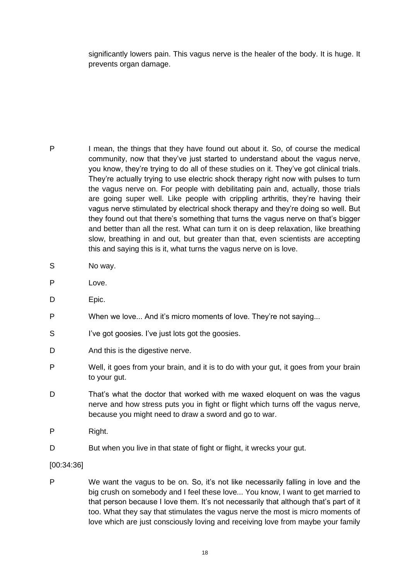significantly lowers pain. This vagus nerve is the healer of the body. It is huge. It prevents organ damage.

- P I mean, the things that they have found out about it. So, of course the medical community, now that they've just started to understand about the vagus nerve, you know, they're trying to do all of these studies on it. They've got clinical trials. They're actually trying to use electric shock therapy right now with pulses to turn the vagus nerve on. For people with debilitating pain and, actually, those trials are going super well. Like people with crippling arthritis, they're having their vagus nerve stimulated by electrical shock therapy and they're doing so well. But they found out that there's something that turns the vagus nerve on that's bigger and better than all the rest. What can turn it on is deep relaxation, like breathing slow, breathing in and out, but greater than that, even scientists are accepting this and saying this is it, what turns the vagus nerve on is love.
- S No way.
- P Love.
- D Epic.
- P When we love... And it's micro moments of love. They're not saying...
- S I've got goosies. I've just lots got the goosies.
- D And this is the digestive nerve.
- P Well, it goes from your brain, and it is to do with your gut, it goes from your brain to your gut.
- D That's what the doctor that worked with me waxed eloquent on was the vagus nerve and how stress puts you in fight or flight which turns off the vagus nerve, because you might need to draw a sword and go to war.
- P Right.
- D But when you live in that state of fight or flight, it wrecks your gut.

#### [00:34:36]

P We want the vagus to be on. So, it's not like necessarily falling in love and the big crush on somebody and I feel these love... You know, I want to get married to that person because I love them. It's not necessarily that although that's part of it too. What they say that stimulates the vagus nerve the most is micro moments of love which are just consciously loving and receiving love from maybe your family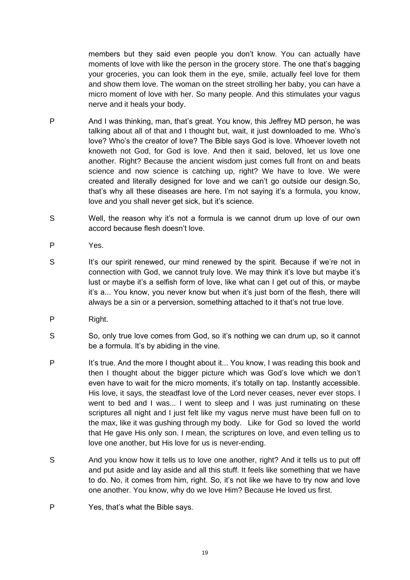members but they said even people you don't know. You can actually have moments of love with like the person in the grocery store. The one that's bagging your groceries, you can look them in the eye, smile, actually feel love for them and show them love. The woman on the street strolling her baby, you can have a micro moment of love with her. So many people. And this stimulates your vagus nerve and it heals your body.

- P And I was thinking, man, that's great. You know, this Jeffrey MD person, he was talking about all of that and I thought but, wait, it just downloaded to me. Who's love? Who's the creator of love? The Bible says God is love. Whoever loveth not knoweth not God, for God is love. And then it said, beloved, let us love one another. Right? Because the ancient wisdom just comes full front on and beats science and now science is catching up, right? We have to love. We were created and literally designed for love and we can't go outside our design.So, that's why all these diseases are here. I'm not saying it's a formula, you know, love and you shall never get sick, but it's science.
- S Well, the reason why it's not a formula is we cannot drum up love of our own accord because flesh doesn't love.
- P Yes.
- S It's our spirit renewed, our mind renewed by the spirit. Because if we're not in connection with God, we cannot truly love. We may think it's love but maybe it's lust or maybe it's a selfish form of love, like what can I get out of this, or maybe it's a... You know, you never know but when it's just born of the flesh, there will always be a sin or a perversion, something attached to it that's not true love.
- P Right.
- S So, only true love comes from God, so it's nothing we can drum up, so it cannot be a formula. It's by abiding in the vine.
- P It's true. And the more I thought about it... You know, I was reading this book and then I thought about the bigger picture which was God's love which we don't even have to wait for the micro moments, it's totally on tap. Instantly accessible. His love, it says, the steadfast love of the Lord never ceases, never ever stops. I went to bed and I was... I went to sleep and I was just ruminating on these scriptures all night and I just felt like my vagus nerve must have been full on to the max, like it was gushing through my body. Like for God so loved the world that He gave His only son. I mean, the scriptures on love, and even telling us to love one another, but His love for us is never-ending.
- S And you know how it tells us to love one another, right? And it tells us to put off and put aside and lay aside and all this stuff. It feels like something that we have to do. No, it comes from him, right. So, it's not like we have to try now and love one another. You know, why do we love Him? Because He loved us first.
- P Yes, that's what the Bible says.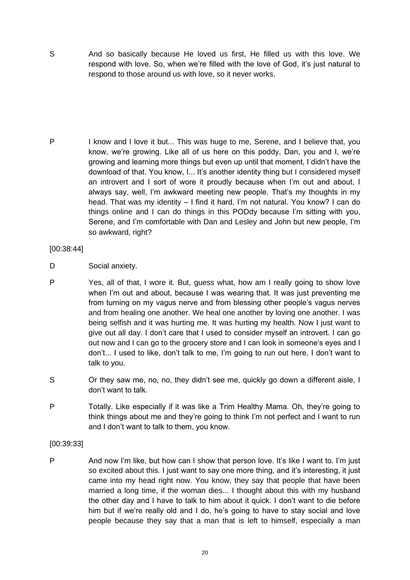S And so basically because He loved us first, He filled us with this love. We respond with love. So, when we're filled with the love of God, it's just natural to respond to those around us with love, so it never works.

P I know and I love it but... This was huge to me, Serene, and I believe that, you know, we're growing. Like all of us here on this poddy, Dan, you and I, we're growing and learning more things but even up until that moment, I didn't have the download of that. You know, I... It's another identity thing but I considered myself an introvert and I sort of wore it proudly because when I'm out and about, I always say, well, I'm awkward meeting new people. That's my thoughts in my head. That was my identity – I find it hard, I'm not natural. You know? I can do things online and I can do things in this PODdy because I'm sitting with you, Serene, and I'm comfortable with Dan and Lesley and John but new people, I'm so awkward, right?

#### [00:38:44]

- D Social anxiety.
- P Yes, all of that, I wore it. But, guess what, how am I really going to show love when I'm out and about, because I was wearing that. It was just preventing me from turning on my vagus nerve and from blessing other people's vagus nerves and from healing one another. We heal one another by loving one another. I was being selfish and it was hurting me. It was hurting my health. Now I just want to give out all day. I don't care that I used to consider myself an introvert. I can go out now and I can go to the grocery store and I can look in someone's eyes and I don't... I used to like, don't talk to me, I'm going to run out here, I don't want to talk to you.
- S Or they saw me, no, no, they didn't see me, quickly go down a different aisle, I don't want to talk.
- P Totally. Like especially if it was like a Trim Healthy Mama. Oh, they're going to think things about me and they're going to think I'm not perfect and I want to run and I don't want to talk to them, you know.

# [00:39:33]

P And now I'm like, but how can I show that person love. It's like I want to. I'm just so excited about this. I just want to say one more thing, and it's interesting, it just came into my head right now. You know, they say that people that have been married a long time, if the woman dies... I thought about this with my husband the other day and I have to talk to him about it quick. I don't want to die before him but if we're really old and I do, he's going to have to stay social and love people because they say that a man that is left to himself, especially a man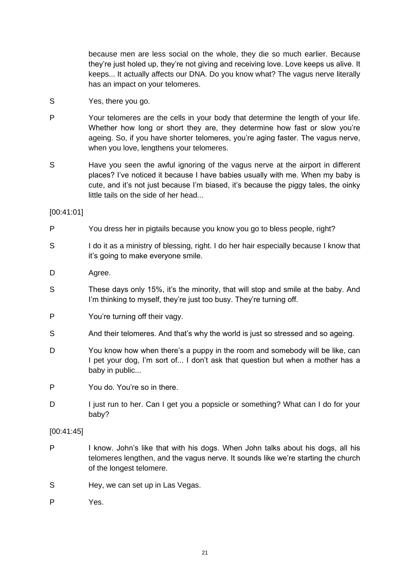because men are less social on the whole, they die so much earlier. Because they're just holed up, they're not giving and receiving love. Love keeps us alive. It keeps... It actually affects our DNA. Do you know what? The vagus nerve literally has an impact on your telomeres.

- S Yes, there you go.
- P Your telomeres are the cells in your body that determine the length of your life. Whether how long or short they are, they determine how fast or slow you're ageing. So, if you have shorter telomeres, you're aging faster. The vagus nerve, when you love, lengthens your telomeres.
- S Have you seen the awful ignoring of the vagus nerve at the airport in different places? I've noticed it because I have babies usually with me. When my baby is cute, and it's not just because I'm biased, it's because the piggy tales, the oinky little tails on the side of her head...

[00:41:01]

- P You dress her in pigtails because you know you go to bless people, right?
- S I do it as a ministry of blessing, right. I do her hair especially because I know that it's going to make everyone smile.
- D Agree.
- S These days only 15%, it's the minority, that will stop and smile at the baby. And I'm thinking to myself, they're just too busy. They're turning off.
- P You're turning off their vagy.
- S And their telomeres. And that's why the world is just so stressed and so ageing.
- D You know how when there's a puppy in the room and somebody will be like, can I pet your dog, I'm sort of... I don't ask that question but when a mother has a baby in public...

P You do. You're so in there.

D I just run to her. Can I get you a popsicle or something? What can I do for your baby?

#### [00:41:45]

- P I know. John's like that with his dogs. When John talks about his dogs, all his telomeres lengthen, and the vagus nerve. It sounds like we're starting the church of the longest telomere.
- S Hey, we can set up in Las Vegas.
- P Yes.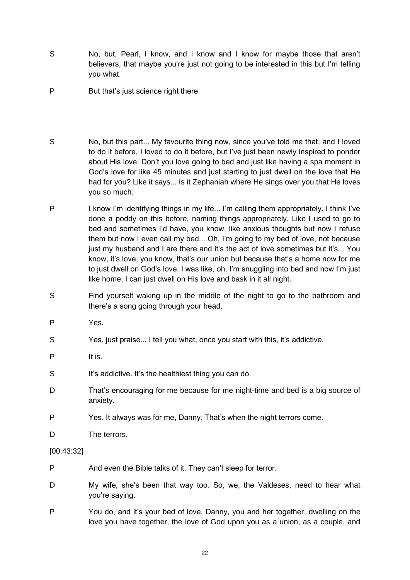- S No, but, Pearl, I know, and I know and I know for maybe those that aren't believers, that maybe you're just not going to be interested in this but I'm telling you what.
- P But that's just science right there.
- S No, but this part... My favourite thing now, since you've told me that, and I loved to do it before, I loved to do it before, but I've just been newly inspired to ponder about His love. Don't you love going to bed and just like having a spa moment in God's love for like 45 minutes and just starting to just dwell on the love that He had for you? Like it says... Is it Zephaniah where He sings over you that He loves you so much.
- P I know I'm identifying things in my life... I'm calling them appropriately. I think I've done a poddy on this before, naming things appropriately. Like I used to go to bed and sometimes I'd have, you know, like anxious thoughts but now I refuse them but now I even call my bed... Oh, I'm going to my bed of love, not because just my husband and I are there and it's the act of love sometimes but it's... You know, it's love, you know, that's our union but because that's a home now for me to just dwell on God's love. I was like, oh, I'm snuggling into bed and now I'm just like home, I can just dwell on His love and bask in it all night.
- S Find yourself waking up in the middle of the night to go to the bathroom and there's a song going through your head.
- P Yes.
- S Yes, just praise... I tell you what, once you start with this, it's addictive.
- P It is.
- S It's addictive. It's the healthiest thing you can do.
- D That's encouraging for me because for me night-time and bed is a big source of anxiety.
- P Yes. It always was for me, Danny. That's when the night terrors come.
- D The terrors.

#### [00:43:32]

- P And even the Bible talks of it. They can't sleep for terror.
- D My wife, she's been that way too. So, we, the Valdeses, need to hear what you're saying.
- P You do, and it's your bed of love, Danny, you and her together, dwelling on the love you have together, the love of God upon you as a union, as a couple, and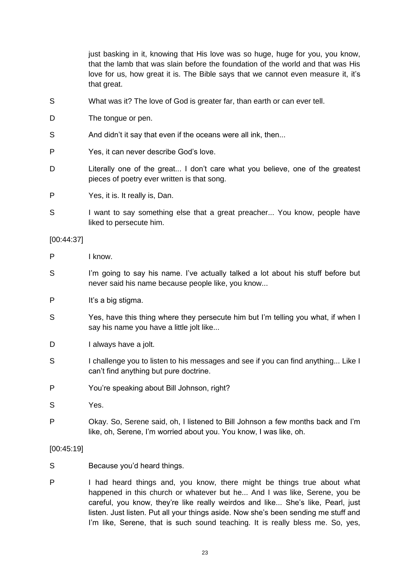|            | that the lamb that was slain before the foundation of the world and that was His<br>love for us, how great it is. The Bible says that we cannot even measure it, it's<br>that great. |
|------------|--------------------------------------------------------------------------------------------------------------------------------------------------------------------------------------|
| S          | What was it? The love of God is greater far, than earth or can ever tell.                                                                                                            |
| D          | The tongue or pen.                                                                                                                                                                   |
| S          | And didn't it say that even if the oceans were all ink, then                                                                                                                         |
| P          | Yes, it can never describe God's love.                                                                                                                                               |
| D          | Literally one of the great I don't care what you believe, one of the greatest<br>pieces of poetry ever written is that song.                                                         |
| P          | Yes, it is. It really is, Dan.                                                                                                                                                       |
| S          | I want to say something else that a great preacher You know, people have<br>liked to persecute him.                                                                                  |
| [00:44:37] |                                                                                                                                                                                      |
| P          | I know.                                                                                                                                                                              |
| S          | I'm going to say his name. I've actually talked a lot about his stuff before but<br>never said his name because people like, you know                                                |
| P          | It's a big stigma.                                                                                                                                                                   |
| S          | Yes, have this thing where they persecute him but I'm telling you what, if when I<br>say his name you have a little jolt like                                                        |
| D          | I always have a jolt.                                                                                                                                                                |
| S          | I challenge you to listen to his messages and see if you can find anything Like I<br>can't find anything but pure doctrine.                                                          |
| P          | You're speaking about Bill Johnson, right?                                                                                                                                           |
| S          | Yes.                                                                                                                                                                                 |
| P          | Okay. So, Serene said, oh, I listened to Bill Johnson a few months back and I'm<br>like, oh, Serene, I'm worried about you. You know, I was like, oh.                                |
| [00:45:19] |                                                                                                                                                                                      |
| S          | Because you'd heard things.                                                                                                                                                          |
| P          | I had heard things and, you know, there might be things true about what<br>happened in this church or whatever but he And I was like, Serene, you be                                 |

just basking in it, knowing that His love was so huge, huge for you, you know,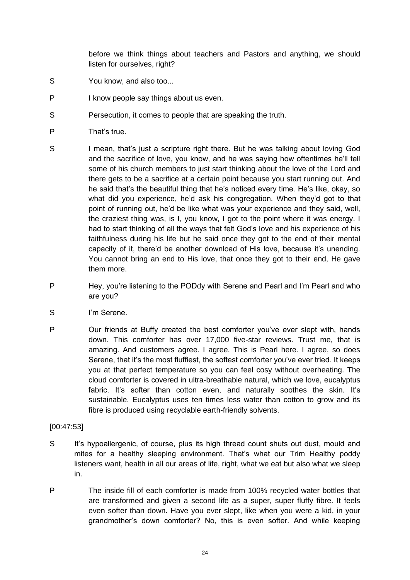before we think things about teachers and Pastors and anything, we should listen for ourselves, right?

- S You know, and also too...
- P I know people say things about us even.
- S Persecution, it comes to people that are speaking the truth.
- P That's true.
- S I mean, that's just a scripture right there. But he was talking about loving God and the sacrifice of love, you know, and he was saying how oftentimes he'll tell some of his church members to just start thinking about the love of the Lord and there gets to be a sacrifice at a certain point because you start running out. And he said that's the beautiful thing that he's noticed every time. He's like, okay, so what did you experience, he'd ask his congregation. When they'd got to that point of running out, he'd be like what was your experience and they said, well, the craziest thing was, is I, you know, I got to the point where it was energy. I had to start thinking of all the ways that felt God's love and his experience of his faithfulness during his life but he said once they got to the end of their mental capacity of it, there'd be another download of His love, because it's unending. You cannot bring an end to His love, that once they got to their end, He gave them more.
- P Hey, you're listening to the PODdy with Serene and Pearl and I'm Pearl and who are you?
- S I'm Serene.
- P Our friends at Buffy created the best comforter you've ever slept with, hands down. This comforter has over 17,000 five-star reviews. Trust me, that is amazing. And customers agree. I agree. This is Pearl here. I agree, so does Serene, that it's the most fluffiest, the softest comforter you've ever tried. It keeps you at that perfect temperature so you can feel cosy without overheating. The cloud comforter is covered in ultra-breathable natural, which we love, eucalyptus fabric. It's softer than cotton even, and naturally soothes the skin. It's sustainable. Eucalyptus uses ten times less water than cotton to grow and its fibre is produced using recyclable earth-friendly solvents.

# [00:47:53]

- S It's hypoallergenic, of course, plus its high thread count shuts out dust, mould and mites for a healthy sleeping environment. That's what our Trim Healthy poddy listeners want, health in all our areas of life, right, what we eat but also what we sleep in.
- P The inside fill of each comforter is made from 100% recycled water bottles that are transformed and given a second life as a super, super fluffy fibre. It feels even softer than down. Have you ever slept, like when you were a kid, in your grandmother's down comforter? No, this is even softer. And while keeping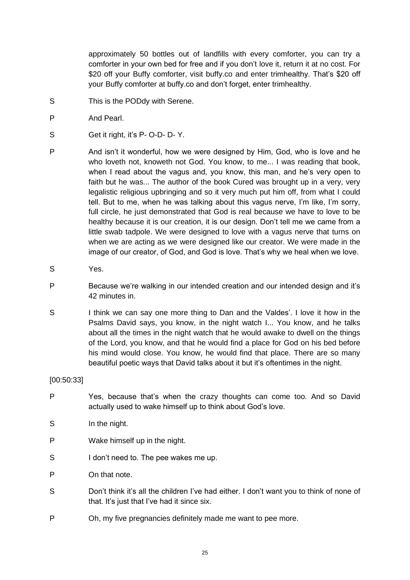approximately 50 bottles out of landfills with every comforter, you can try a comforter in your own bed for free and if you don't love it, return it at no cost. For \$20 off your Buffy comforter, visit buffy.co and enter trimhealthy. That's \$20 off your Buffy comforter at buffy.co and don't forget, enter trimhealthy.

- S This is the PODdy with Serene.
- P And Pearl.
- S Get it right, it's P- O-D- D- Y.
- P And isn't it wonderful, how we were designed by Him, God, who is love and he who loveth not, knoweth not God. You know, to me... I was reading that book, when I read about the vagus and, you know, this man, and he's very open to faith but he was... The author of the book Cured was brought up in a very, very legalistic religious upbringing and so it very much put him off, from what I could tell. But to me, when he was talking about this vagus nerve, I'm like, I'm sorry, full circle, he just demonstrated that God is real because we have to love to be healthy because it is our creation, it is our design. Don't tell me we came from a little swab tadpole. We were designed to love with a vagus nerve that turns on when we are acting as we were designed like our creator. We were made in the image of our creator, of God, and God is love. That's why we heal when we love.
- S Yes.
- P Because we're walking in our intended creation and our intended design and it's 42 minutes in.
- S I think we can say one more thing to Dan and the Valdes'. I love it how in the Psalms David says, you know, in the night watch I... You know, and he talks about all the times in the night watch that he would awake to dwell on the things of the Lord, you know, and that he would find a place for God on his bed before his mind would close. You know, he would find that place. There are so many beautiful poetic ways that David talks about it but it's oftentimes in the night.

#### [00:50:33]

- P Yes, because that's when the crazy thoughts can come too. And so David actually used to wake himself up to think about God's love.
- S In the night.
- P Wake himself up in the night.
- S I don't need to. The pee wakes me up.
- P On that note.
- S Don't think it's all the children I've had either. I don't want you to think of none of that. It's just that I've had it since six.
- P Oh, my five pregnancies definitely made me want to pee more.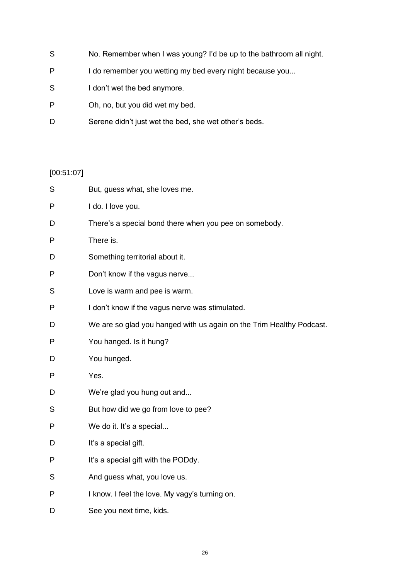- S No. Remember when I was young? I'd be up to the bathroom all night.
- P I do remember you wetting my bed every night because you...
- S I don't wet the bed anymore.
- P Oh, no, but you did wet my bed.
- D Serene didn't just wet the bed, she wet other's beds.

# [00:51:07]

| S | But, guess what, she loves me.                                       |
|---|----------------------------------------------------------------------|
| P | I do. I love you.                                                    |
| D | There's a special bond there when you pee on somebody.               |
| P | There is.                                                            |
| D | Something territorial about it.                                      |
| P | Don't know if the vagus nerve                                        |
| S | Love is warm and pee is warm.                                        |
| P | I don't know if the vagus nerve was stimulated.                      |
| D | We are so glad you hanged with us again on the Trim Healthy Podcast. |
| P | You hanged. Is it hung?                                              |
| D | You hunged.                                                          |
| P | Yes.                                                                 |
| D | We're glad you hung out and                                          |
| S | But how did we go from love to pee?                                  |
| P | We do it. It's a special                                             |
| D | It's a special gift.                                                 |
| P | It's a special gift with the PODdy.                                  |
| S | And guess what, you love us.                                         |
| P | I know. I feel the love. My vagy's turning on.                       |
| D | See you next time, kids.                                             |